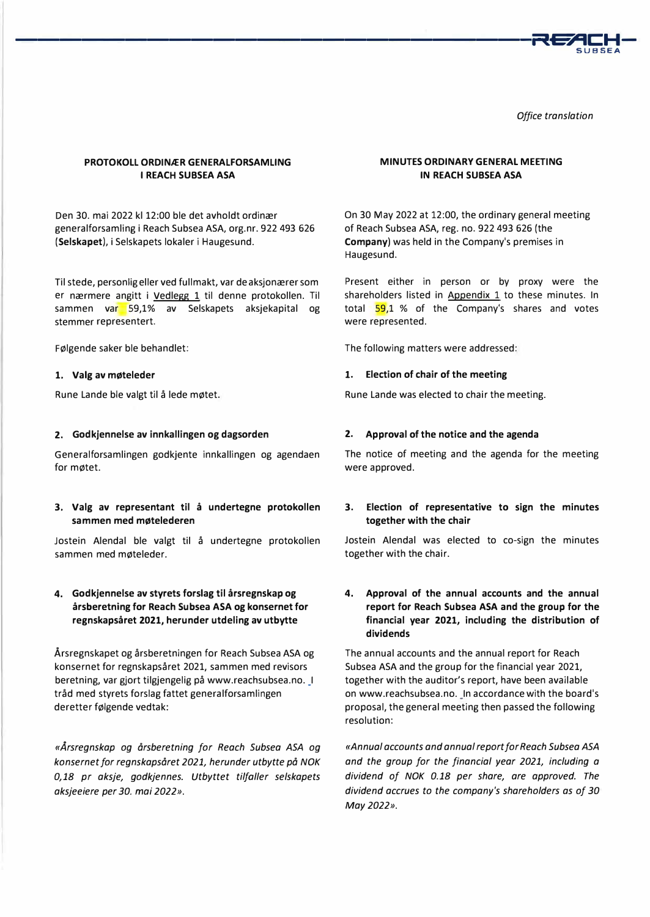

*Office translation* 

# **PROTOKOLL ORDINÆR GENERALFORSAMLING I REACH SUBSEA ASA**

Den 30. mai 2022 kl 12:00 ble det avholdt ordinær generalforsamling i Reach Subsea ASA, org.nr. 922 493 626 **(Selskapet),** i Selskapets lokaler i Haugesund.

Til stede, personligeller ved fullmakt, var deaksjonærersom er nærmere angitt i Vedlegg 1 til denne protokollen. Til sammen var 59,1% av Selskapets aksjekapital og stemmer representert.

Følgende saker ble behandlet:

### **1. Valg av møteleder**

Rune Lande ble valgt til å lede møtet.

### **2. Godkjennelse av innkallingen og dagsorden**

Generalforsamlingen godkjente innkallingen og agendaen for møtet.

# **3. Valg av representant til å undertegne protokollen sammen med møtelederen**

Jostein Alendal ble valgt til å undertegne protokollen sammen med møteleder.

# **4. Godkjennelse av styrets forslag til årsregnskap og årsberetning for Reach Subsea ASA og konsernet for regnskapsåret 2021, herunder utdeling av utbytte**

Årsregnskapet og årsberetningen for Reach Subsea ASA og konsernet for regnskapsåret 2021, sammen med revisors beretning, var gjort tilgjengelig på www.reachsubsea.no. \_I tråd med styrets forslag fattet generalforsamlingen deretter følgende vedtak:

*«Årsregnskap og årsberetning for Reach Subsea ASA og konsernet for regnskapsåret 2021, herunder utbytte på NOK 0,18 pr aksje, godkjennes. Utbyttet tilfaller selskapets aksjeeiere per 30. mai 2022».* 

## **MINUTES ORDINARY GENERAL MEETING IN REACH SUBSEA ASA**

On 30 May 2022 at 12:00, the ordinary general meeting of Reach Subsea ASA, reg. no. 922 493 626 (the **Company)** was held in the Company's premises in Haugesund.

Present either in person or by proxy were the shareholders listed in Appendix  $1$  to these minutes. In total  $\frac{59}{1}$  % of the Company's shares and votes were represented.

The following matters were addressed:

### **1. Election of chair of the meeting**

Rune Lande was elected to chair the meeting.

### **2.** Approval of the notice and the agenda

The notice of meeting and the agenda for the meeting were approved.

# **3. Election of representative to sign the minutes together with the chair**

Jostein Alendal was elected to co-sign the minutes together with the chair.

# **4. Approval of the annual accounts and the annual report for Reach Subsea ASA and the group for the financial year 2021, including the distribution of dividends**

The annual accounts and the annual report for Reach Subsea ASA and the group for the financial year 2021, together with the auditor's report, have been available on www.reachsubsea.no. \_In accordance with the board's proposal, the general meeting then passed the following resolution:

*«Annua/ accounts and annua/ report for Reach Subsea ASA and the group for the financial year 2021, including a dividend of NOK 0.18 per share, are approved. The dividend accrues to the company's shareholders as of 30 May2022».*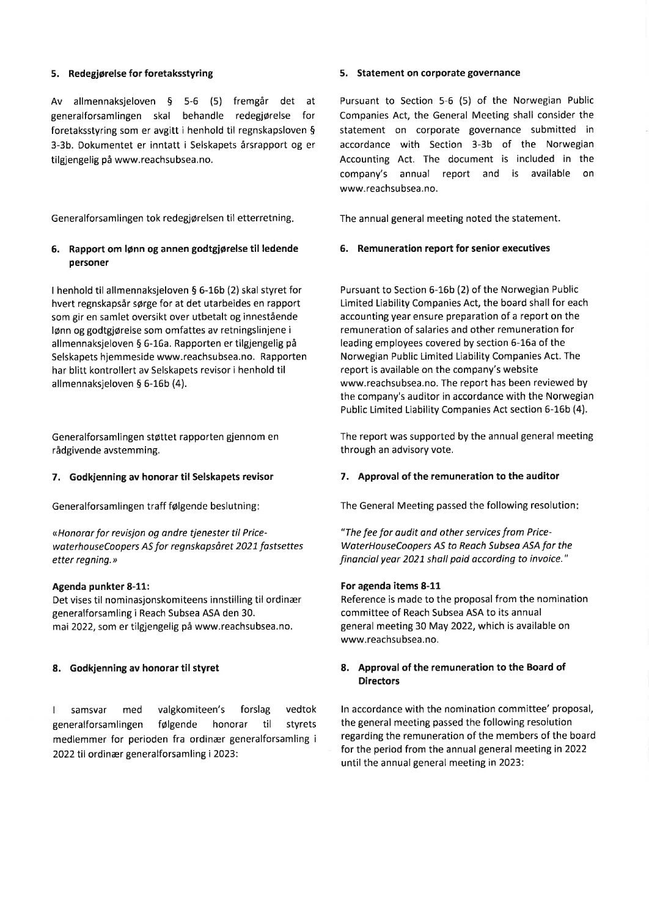# 5. Redegjørelse for foretaksstyring

Av allmennaksjeloven 5 5-6 (5) fremgår det at generalforsamlingen skal behandle redegjørelse for foretaksstyring som er avgitt i henhold til regnskapsloven \$ 3-3b. Dokumentet er inntatt i Selskapets årsrapport og er tilgjengelig på www.reachsubsea.no.

Generalforsamlingen tok redegjørelsen til etterretning

# 5. Rapport om lønn og annen godtgjørelse til ledende personer

I henhold til allmennaksjeloven S 6-16b (2) skal styret for hvert regnskapsår sørge for at det utarbeides en rapport som gir en samlet oversikt over utbetalt og innestående lønn og godtgjørelse som omfattes av retningslinjene i allmennaksjeloven 5 6-16a. Rapporten er tilgjengelig på Selskapets hjemmeside www.reachsubsea.no. Rapporten har blitt kontrollert av Selskapets revisor i henhold til allmennaksjeloven § 6-16b (4).

Generalforsamlingen støttet rapporten gjennom en rådgivende avstemming.

## 7. Godkjenning av honorar til Selskapets revisor

Generalforsamlingen traff følgende beslutning

«Honorar for revisjon og andre tjenester til PricewaterhouseCoopers AS for regnskapsåret 2027 fostsettes etter regning.»

#### Agenda punkter 8-11:

Det vises til nominasjonskomiteens innstilling til ordinær generalforsamling i Reach Subsea ASA den 30. mai 2022, som er tilgjengelig på www.reachsubsea.no.

## 8. Godkjenning av honorar til styret

I samsvar med valgkomiteen's forslag vedtok generalforsamlingen følgende honorar til styrets medlemmer for perioden fra ordinær generalforsamling <sup>i</sup> 2022 til ordinær generalforsamling i 2023:

#### 5. Statement on corporate governance

Pursuant to Section 5-6 (5) of the Norwegian Public Companies Act, the General Meeting shall consider the statement on corporate governance submitted in accordance with Section 3-3b of the Norwegian Accounting Act. The document is included in the company's annual report and is available on www.reachsubsea.no.

The annual general meeting noted the statement.

### 6. Remuneration report for senior executives

Pursuant to Section 6-16b (2) of the Norwegian Public Limited Liability Companies Act, the board shall for each accounting year ensure preparation of a report on the remuneration of salaries and other remuneration for leading employees covered by section 6-16a of the Norwegian Public Limited Liability Companies Act. The report is available on the company's website www.reachsubsea.no. The report has been reviewed by the company's auditor in accordance with the Norwegian Public Limited Liability Companies Act section 6-16b (4).

The report was supported by the annual general meeting through an advisory vote.

#### 7. Approval of the remuneration to the auditor

The General Meeting passed the following resolution

"The fee for audit ond other services from Price-WaterHouseCoopers AS to Reach Subsea ASA for the financial year 2021 shall paid according to invoice."

#### For agenda items 8-11

Reference is made to the proposal from the nomination committee of Reach Subsea ASA to its annual general meeting 30 May 2022, which is available on www.reachsu bsea.no.

# 8. Approval of the remuneration to the Board of Directors

ln accordance with the nomination committee' proposal, the general meeting passed the following resolution regarding the remuneration of the members of the board for the period from the annual general meeting in 2022 until the annual general meeting in 2023'.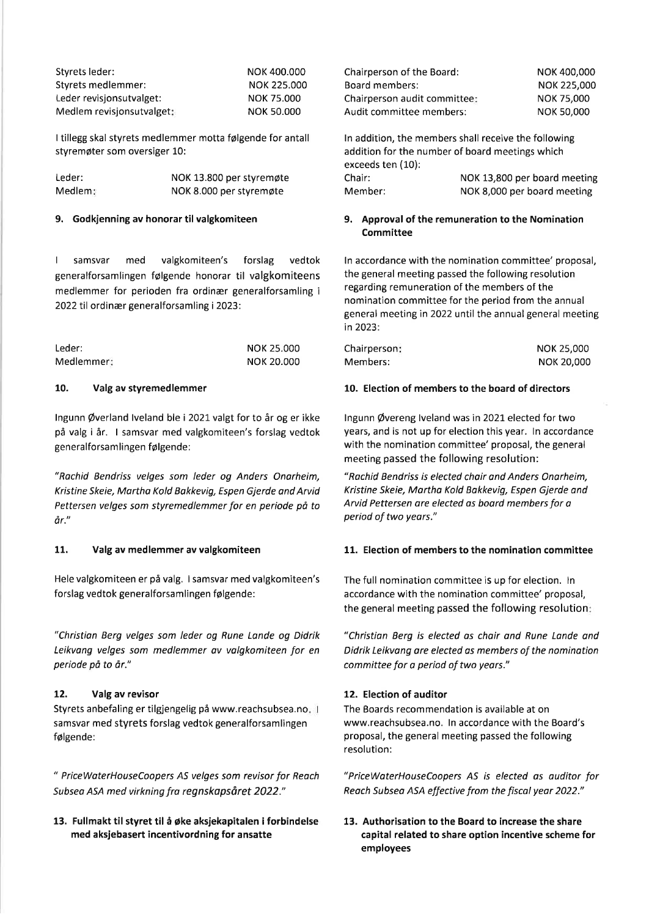| Styrets leder:            | NOK 400,000       |
|---------------------------|-------------------|
| Styrets medlemmer:        | NOK 225,000       |
| Leder revisionsutvalget:  | NOK 75,000        |
| Medlem revisionsutvalget: | <b>NOK 50,000</b> |

<sup>I</sup>tillegg skal styrets medlemmer motta følgende for antall styremøter som oversiger 10:

| Leder:  | NOK 13.800 per styremøte |
|---------|--------------------------|
| Medlem: | NOK 8.000 per styremøte  |

### 9. Godkjenning av honorar til valgkomiteen

I samsvar med valgkomiteen's forslag vedtok generalforsamlingen følgende honorar til valgkomiteens medlemmer for perioden fra ordinær generalforsamling <sup>i</sup> 2022 til ordinær generalforsamling i 2023:

| Leder:     | NOK 25,000 |
|------------|------------|
| Medlemmer: | NOK 20,000 |

### 10. Valg av styremedlemmer

lngunn @verland lveland ble i 202L valgt for to år og er ikke på valg i år. I samsvar med valgkomiteen's forslag vedtok generalforsamlingen følgende:

"Rochid Bendriss velges som leder og Anders Onarheim, Kristine Skeie, Martha Kold Bakkevig, Espen Gjerde and Arvid Pettersen velges som styremedlemmer for en periode på to år."

# 11. Valg av medlemmer av valgkomiteen

Hele valgkomiteen er på valg. I samsvar med valgkomiteen's forslag vedtok generalforsamlingen følgende:

"Christion Berg velges som leder og Rune Lande og Didrik Leikvong velges som medlemmer ov volgkomiteen for en periode på to år."

# 12. Valg av revisor

Styrets anbefaling er tilgjengelig på www.reachsubsea.no samsvar med styrets forslag vedtok generalforsamlingen følgende:

" PriceWoterHouseCoopers AS velges som revisor for Reach Subseo ASA med virkning fra regnskapsåret 2022."

13. Fullmakt til styret til å øke aksjekapitalen i forbindelse med aksjebasert incentivordning for ansatte

| <b>Chairperson of the Board:</b> | NOK 400,000        |
|----------------------------------|--------------------|
| Board members:                   | <b>NOK 225,000</b> |
| Chairperson audit committee:     | <b>NOK 75,000</b>  |
| Audit committee members:         | <b>NOK 50,000</b>  |

ln addition, the members shall receive the following addition for the number of board meetings which exceeds ten (10): Chair: NOK 13,800 per board meeting<br>
Member: NOK 8.000 per board meeting NOK 8,000 per board meeting

## 9. Approval of the remuneration to the Nomination Committee

ln accordance with the nomination committee' proposal, the general meeting passed the following resolution regarding remuneration of the members of the nomination committee for the period from the annual general meeting in2Q22 until the annual general meeting in2023:

| Chairperson: | NOK 25,000        |
|--------------|-------------------|
| Members:     | <b>NOK 20,000</b> |

### 10. Election of members to the board of directors

lngunn @vereng lveland was in 2021 elected for two years, and is not up for election this year. ln accordance with the nomination committee' proposal, the general meeting passed the following resolution:

"Rachid Bendriss is elected choir and Anders Onarheim, Kristine Skeie, Mortha Kold Bokkevig, Espen Gjerde and Arvid Pettersen are elected as board members for a period of two years."

# 11. Election of members to the nomination committee

The full nomination committee is up for election. ln accordance with the nomination committee' proposal, the general meeting passed the following resolution

"Christion Berg is elected as chair and Rune Londe and Didrik Leikvang are elected as members of the nomination committee for a period of two years."

# 12. Election of auditor

The Boards recommendation is available at on www.reachsubsea.no. ln accordance with the Board's proposal, the general meeting passed the following resolution:

"PriceWoterHouseCoopers AS is elected as ouditor for Reach Subsea ASA effective from the fiscal year 2022."

13. Authorisation to the Board to increase the share capital related to share option incentive scheme for employees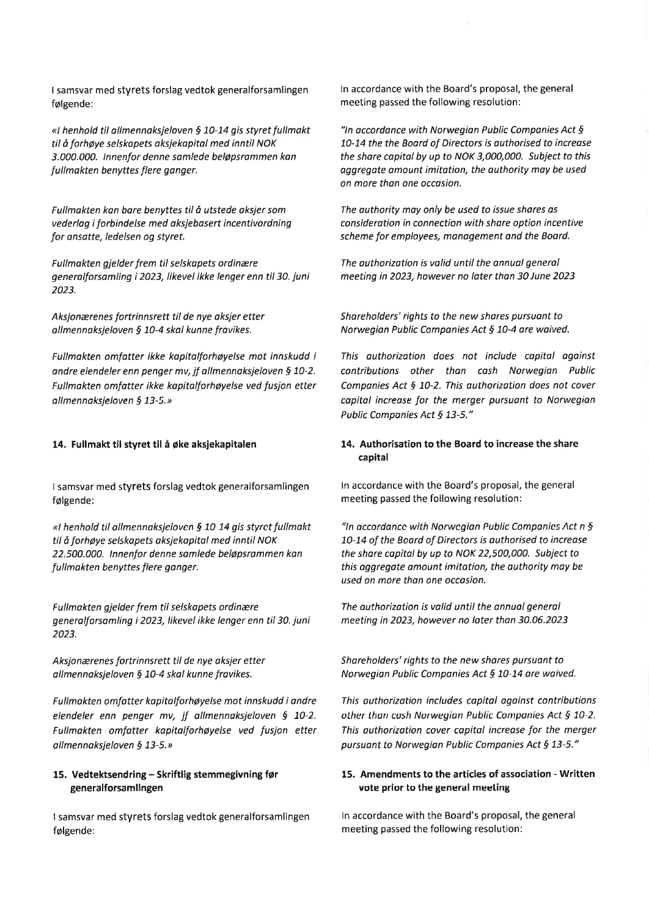<sup>I</sup>samsvar med styrets forslag vedtok generalforsamlingen følgende:

«I henhold til allmennaksjeloven § 10-14 gis styret fullmakt til å forhøye selskapets oksjekapital med inntil NOK 3.000.000. Innenfor denne samlede beløpsrommen kan fullmakten benyttes flere gonger.

Fullmakten kon bore benyttes til å utstede oksjer som vederlog i forbindelse med oksjebasert incentivordning for onsotte, ledelsen og styret.

Fullmakten gjelder frem til selskapets ordinære generalforsomling i 2023, likevel ikke lenger enn til 30. juni 2023.

Aksjonærenes fortrinnsrett til de nye aksjer etter allmennaksjeloven § 10-4 skal kunne fravikes.

Fullmakten omfotter ikke kopitolforhøyelse mot innskudd i andre eiendeler enn penger mv, jf allmennaksjeloven § 10-2. Fullmokten omfatter ikke kapitalforhøyelse ved fusjon etter all mennaksje loven  $§$  13-5.»

### 14. Fullmakt til styret til å øke aksjekapitalen

I samsvar med styrets forslag vedtok generalforsamlingen følgende:

«I henhold til allmennaksjeloven § 10 14 gis styrct fullmakt til å forhøye selskapets oksjekopitol med inntil NOK 22.500.000. lnnenfor denne somlede beløpsrammen kan fullmakten benyttes flere ganger.

Fullmokten gjelder frem til selskapets ordinære generalforsamling i 2023, likevel ikke lenger enn til 30. juni 2023.

Aksjonærenes fortrinnsrett til de nye oksjer etter allmennaksjeloven § 10-4 skal kunne fravikes.

Fullmakten omfatter kapitalforhøyelse mot innskudd i andre eiendeler enn penger mv, jf allmennaksjeloven § 10-2. Fullmakten omfatter kopitolforhøyelse ved fusjon etter all mennaksje loven  $\S$  13-5. »

# 15. Vedtektsendring - Skriftlig stemmegivning før generalforsamllngen

I samsvar med styrets forslag vedtok generalforsamlingen følgende:

ln accordance with the Board's proposal, the general meeting passed the following resolution:

"In accordance with Norwegian Public Companies Act  $\delta$ 70-74 the the Boord of Directors is authorised to increase the share capital by up to NOK 3,000,000. Subject to this aggregate amount imitation, the authority may be used on more than one occasion.

The authority may only be used to issue shares as consideration in connection with shore option incentive scheme for employees, management and the Board.

The authorization is valid until the annual general meeting in 2023, however no loter thon 30 June 2023

Shareholders' rights to the new shares pursuant to Norwegian Public Companies Act § 10-4 are waived.

This authorization does not include capital against contributions other than cash Norwegian Public Companies Act § 10-2. This authorization does not cover capital increase for the merger pursuant to Norwegian Public Companies Act § 13-5."

# 14. Authorisation to the Board to increase the share capital

In accordance with the Board's proposal, the general meeting passed the following resolution:

"In accordance with Norwegian Public Companies Act  $n \xi$ 10-14 of the Boord of Directors is outhorised to increase the share copital by up to NoK 22,500,000. subject to this aggregate omount imitøtion, the outhority may be used on more than one occosion.

The authorizotion is volid until the onnual generol meeting in 2023, however no later than 30.06.202j

Shareholders' rights to the new shores pursuant to Norwegian Public Companies Act § 10-14 are waived.

This authorizotion includes copitol against contributions other than cash Norwegian Public Companies Act  $\S$  10-2. This authorization cover capital increase for the merger pursuant to Norwegian Public Companies Act § 13-5."

# 15. Amendments to the articles of association - Written vote prior to the general meeting

ln accordance with the Board's proposal, the general meeting passed the following resolution: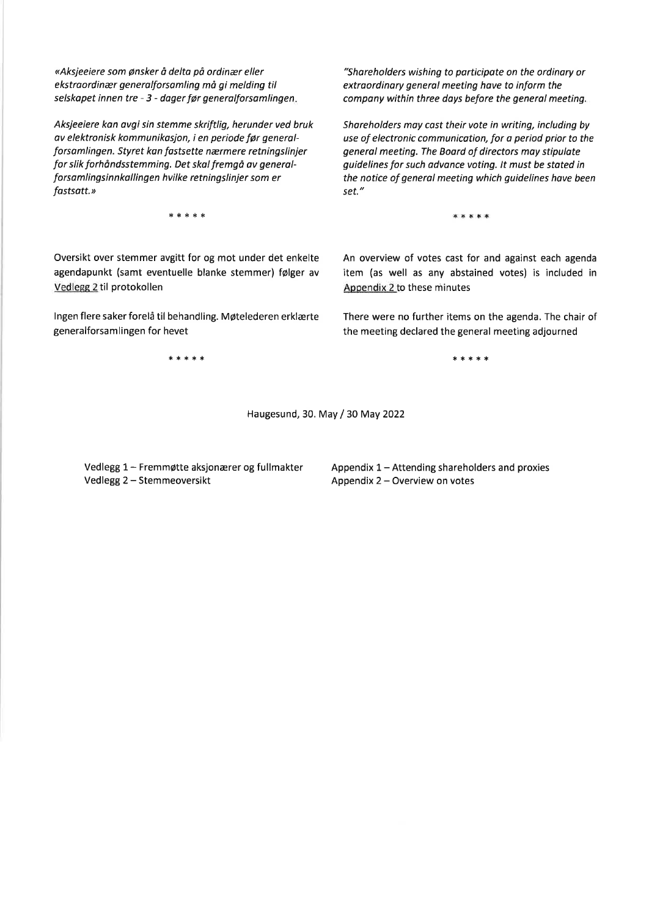<Aksjeeiere som ønsker å delto på ordinær eller ekstraordinær generalforsamling må gi melding til selskapet innen tre - 3 - dager før generalforsomlingen

Aksjeeiere kan ovgi sin stemme skriftlig, herunder ved bruk av elektronisk kommunikasjon, i en periode fgr generalforsamlingen. Styret kan fastsette nærmere retningslinjer for slik forhåndsstemming. Det skal fremgå av generalforsamlingsinn kallingen hvilke retningslinjer som er fastsatt.»

l.'\*\*'\*,\*

Oversikt over stemmer avgitt for og mot under det enkelte agendapunkt (samt eventuelle blanke stemmer) følger av Vedlegg 2 til protokollen

lngen flere saker forelå til behandling. Møtelederen erklærte generalforsam lingen for hevet

"Shareholders wishing to porticipate on the ordinory or extroordinary general meeting have to inform the company within three days before the general meeting.

Shareholders moy cost their vote in writing, including by use of electronic communication, for a period prior to the general meeting. The Board of directors may stipulate guidelines for such advance voting. lt must be stated in the notice of generol meeting which guidelines hove been set."

\*\*\*\*\*

An overview of votes cast for and against each agenda item (as well as any abstained votes) is included in Appendix 2 to these minutes

There were no further items on the agenda. The chair of the meeting declared the general meeting adjourned

\*\*\*\*,\* \*\*\*\*,\*

Haugesund, 30. May / 30 May 2022

Vedlegg 1- FremmØtte aksjonærer og fullmakter Vedlegg 2 - Stemmeoversikt

Appendix 1 - Attending shareholders and proxies Appendix 2 - Overview on votes